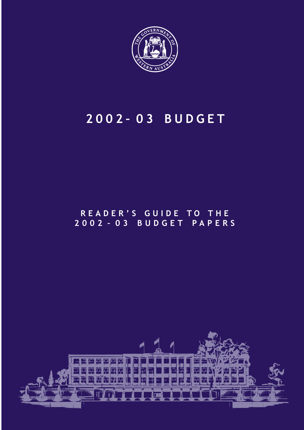

## 2002– 03 BUDGET

## READER'S GUIDE TO THE 2002 – 03 BUDGET PAPERS

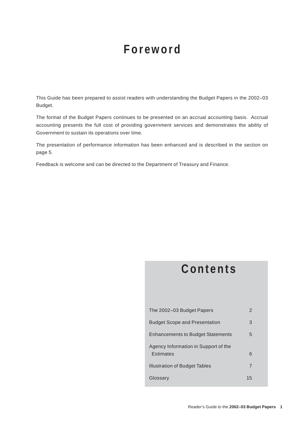## **Foreword**

This Guide has been prepared to assist readers with understanding the Budget Papers in the 2002–03 Budget.

The format of the Budget Papers continues to be presented on an accrual accounting basis. Accrual accounting presents the full cost of providing government services and demonstrates the ability of Government to sustain its operations over time.

The presentation of performance information has been enhanced and is described in the section on page 5.

Feedback is welcome and can be directed to the Department of Treasury and Finance.

## **Contents**

| The 2002–03 Budget Papers                         | 2  |
|---------------------------------------------------|----|
| <b>Budget Scope and Presentation</b>              | 3  |
| <b>Enhancements to Budget Statements</b>          | 5  |
| Agency Information in Support of the<br>Estimates | 6  |
| Illustration of Budget Tables                     | 7  |
| Glossary                                          | 15 |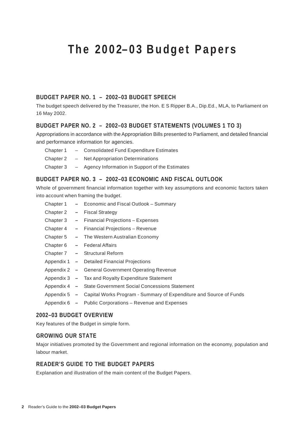## <span id="page-2-0"></span>**The 2002–03 Budget Papers**

### **BUDGET PAPER NO. 1 – 2002–03 BUDGET SPEECH**

The budget speech delivered by the Treasurer, the Hon. E S Ripper B.A., Dip.Ed., MLA, to Parliament on 16 May 2002.

### **BUDGET PAPER NO. 2 – 2002–03 BUDGET STATEMENTS (VOLUMES 1 TO 3)**

Appropriations in accordance with the Appropriation Bills presented to Parliament, and detailed financial and performance information for agencies.

- Chapter 1 Consolidated Fund Expenditure Estimates
- Chapter 2 Net Appropriation Determinations
- Chapter 3 Agency Information in Support of the Estimates

### **BUDGET PAPER NO. 3 – 2002–03 ECONOMIC AND FISCAL OUTLOOK**

Whole of government financial information together with key assumptions and economic factors taken into account when framing the budget.

| Chapter 1 |     | - Economic and Fiscal Outlook - Summary                                         |
|-----------|-----|---------------------------------------------------------------------------------|
| Chapter 2 | $-$ | <b>Fiscal Strategy</b>                                                          |
| Chapter 3 |     | - Financial Projections - Expenses                                              |
| Chapter 4 |     | - Financial Projections - Revenue                                               |
| Chapter 5 |     | - The Western Australian Economy                                                |
| Chapter 6 |     | - Federal Affairs                                                               |
|           |     | Chapter 7 - Structural Reform                                                   |
|           |     | Appendix 1 - Detailed Financial Projections                                     |
|           |     | Appendix 2 - General Government Operating Revenue                               |
|           |     | Appendix 3 - Tax and Royalty Expenditure Statement                              |
|           |     | Appendix 4 - State Government Social Concessions Statement                      |
|           |     | Appendix 5 - Capital Works Program - Summary of Expenditure and Source of Funds |
|           |     | Appendix 6 - Public Corporations - Revenue and Expenses                         |
|           |     |                                                                                 |

#### **2002–03 BUDGET OVERVIEW**

Key features of the Budget in simple form.

### **GROWING OUR STATE**

Major initiatives promoted by the Government and regional information on the economy, population and labour market.

### **READER'S GUIDE TO THE BUDGET PAPERS**

Explanation and illustration of the main content of the Budget Papers.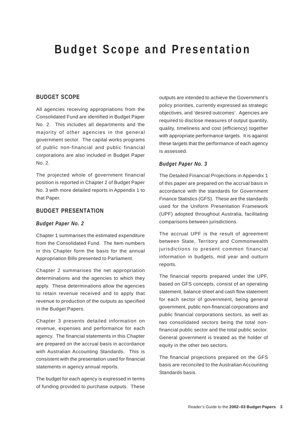## <span id="page-3-0"></span>**Budget Scope and Presentation**

### **BUDGET SCOPE**

All agencies receiving appropriations from the Consolidated Fund are identified in Budget Paper No. 2. This includes all departments and the majority of other agencies in the general government sector. The capital works programs of public non-financial and public financial corporations are also included in Budget Paper No. 2.

The projected whole of government financial position is reported in Chapter 2 of Budget Paper No. 3 with more detailed reports in Appendix 1 to that Paper.

### **BUDGET PRESENTATION**

#### *Budget Paper No. 2*

Chapter 1 summarises the estimated expenditure from the Consolidated Fund. The Item numbers in this Chapter form the basis for the annual Appropriation Bills presented to Parliament.

Chapter 2 summarises the net appropriation determinations and the agencies to which they apply. These determinations allow the agencies to retain revenue received and to apply that revenue to production of the outputs as specified in the Budget Papers.

Chapter 3 presents detailed information on revenue, expenses and performance for each agency. The financial statements in this Chapter are prepared on the accrual basis in accordance with Australian Accounting Standards. This is consistent with the presentation used for financial statements in agency annual reports.

The budget for each agency is expressed in terms of funding provided to purchase outputs. These outputs are intended to achieve the Government's policy priorities, currently expressed as strategic objectives, and 'desired outcomes'. Agencies are required to disclose measures of output quantity, quality, timeliness and cost (efficiency) together with appropriate performance targets. It is against these targets that the performance of each agency is assessed.

#### *Budget Paper No. 3*

The Detailed Financial Projections in Appendix 1 of this paper are prepared on the accrual basis in accordance with the standards for Government Finance Statistics (GFS). These are the standards used for the Uniform Presentation Framework (UPF) adopted throughout Australia, facilitating comparisons between jurisdictions.

The accrual UPF is the result of agreement between State, Territory and Commonwealth jurisdictions to present common financial information in budgets, mid year and outturn reports.

The financial reports prepared under the UPF, based on GFS concepts, consist of an operating statement, balance sheet and cash flow statement for each sector of government, being general government, public non-financial corporations and public financial corporations sectors, as well as two consolidated sectors being the total nonfinancial public sector and the total public sector. General government is treated as the holder of equity in the other two sectors.

The financial projections prepared on the GFS basis are reconciled to the Australian Accounting Standards basis.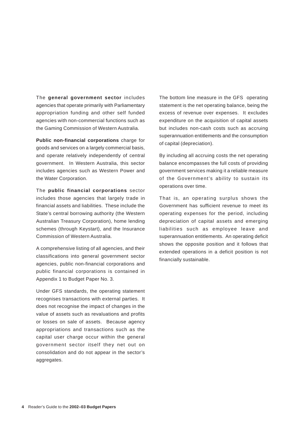The **general government sector** includes agencies that operate primarily with Parliamentary appropriation funding and other self funded agencies with non-commercial functions such as the Gaming Commission of Western Australia.

**Public non-financial corporations** charge for goods and services on a largely commercial basis, and operate relatively independently of central government. In Western Australia, this sector includes agencies such as Western Power and the Water Corporation.

The **public financial corporations** sector includes those agencies that largely trade in financial assets and liabilities. These include the State's central borrowing authority (the Western Australian Treasury Corporation), home lending schemes (through Keystart), and the Insurance Commission of Western Australia.

A comprehensive listing of all agencies, and their classifications into general government sector agencies, public non-financial corporations and public financial corporations is contained in Appendix 1 to Budget Paper No. 3.

Under GFS standards, the operating statement recognises transactions with external parties. It does not recognise the impact of changes in the value of assets such as revaluations and profits or losses on sale of assets. Because agency appropriations and transactions such as the capital user charge occur within the general government sector itself they net out on consolidation and do not appear in the sector's aggregates.

The bottom line measure in the GFS operating statement is the net operating balance, being the excess of revenue over expenses. It excludes expenditure on the acquisition of capital assets but includes non-cash costs such as accruing superannuation entitlements and the consumption of capital (depreciation).

By including all accruing costs the net operating balance encompasses the full costs of providing government services making it a reliable measure of the Government's ability to sustain its operations over time.

That is, an operating surplus shows the Government has sufficient revenue to meet its operating expenses for the period, including depreciation of capital assets and emerging liabilities such as employee leave and superannuation entitlements. An operating deficit shows the opposite position and it follows that extended operations in a deficit position is not financially sustainable.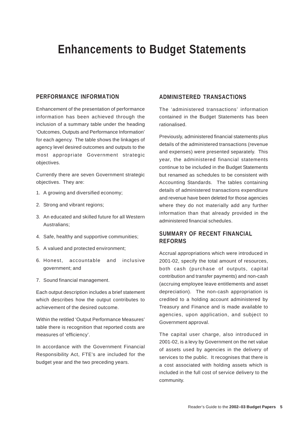## <span id="page-5-0"></span>**Enhancements to Budget Statements**

### **PERFORMANCE INFORMATION**

Enhancement of the presentation of performance information has been achieved through the inclusion of a summary table under the heading 'Outcomes, Outputs and Performance Information' for each agency. The table shows the linkages of agency level desired outcomes and outputs to the most appropriate Government strategic objectives.

Currently there are seven Government strategic objectives. They are:

- 1. A growing and diversified economy;
- 2. Strong and vibrant regions;
- 3. An educated and skilled future for all Western Australians;
- 4. Safe, healthy and supportive communities;
- 5. A valued and protected environment;
- 6. Honest, accountable and inclusive government; and
- 7. Sound financial management.

Each output description includes a brief statement which describes how the output contributes to achievement of the desired outcome.

Within the retitled 'Output Performance Measures' table there is recognition that reported costs are measures of 'efficiency'.

In accordance with the Government Financial Responsibility Act, FTE's are included for the budget year and the two preceding years.

### **ADMINISTERED TRANSACTIONS**

The 'administered transactions' information contained in the Budget Statements has been rationalised.

Previously, administered financial statements plus details of the administered transactions (revenue and expenses) were presented separately. This year, the administered financial statements continue to be included in the Budget Statements but renamed as schedules to be consistent with Accounting Standards. The tables containing details of administered transactions expenditure and revenue have been deleted for those agencies where they do not materially add any further information than that already provided in the administered financial schedules.

### **SUMMARY OF RECENT FINANCIAL REFORMS**

Accrual appropriations which were introduced in 2001-02, specify the total amount of resources, both cash (purchase of outputs, capital contribution and transfer payments) and non-cash (accruing employee leave entitlements and asset depreciation). The non-cash appropriation is credited to a holding account administered by Treasury and Finance and is made available to agencies, upon application, and subject to Government approval.

The capital user charge, also introduced in 2001-02, is a levy by Government on the net value of assets used by agencies in the delivery of services to the public. It recognises that there is a cost associated with holding assets which is included in the full cost of service delivery to the community.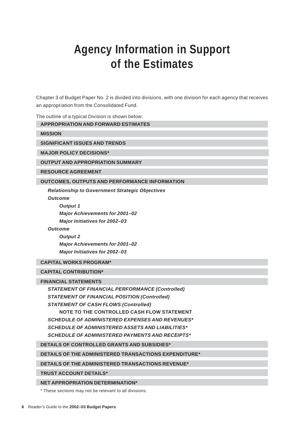## <span id="page-6-0"></span>**Agency Information in Support of the Estimates**

Chapter 3 of Budget Paper No. 2 is divided into divisions, with one division for each agency that receives an appropriation from the Consolidated Fund.

The outline of a typical Division is shown below:

#### **APPROPRIATION AND FORWARD ESTIMATES**

**MISSION**

**SIGNIFICANT ISSUES AND TRENDS**

**MAJOR POLICY DECISIONS\***

**OUTPUT AND APPROPRIATION SUMMARY**

**RESOURCE AGREEMENT**

#### **OUTCOMES, OUTPUTS AND PERFORMANCE INFORMATION**

**Relationship to Government Strategic Objectives**

**Outcome**

**Output 1 Major Achievements for 2001–02 Major Initiatives for 2002–03**

**Outcome**

**Output 2 Major Achievements for 2001–02 Major Initiatives for 2002–03**

#### **CAPITAL WORKS PROGRAM\***

### **CAPITAL CONTRIBUTION\***

#### **FINANCIAL STATEMENTS**

**STATEMENT OF FINANCIAL PERFORMANCE (Controlled) STATEMENT OF FINANCIAL POSITION (Controlled) STATEMENT OF CASH FLOWS (Controlled) NOTE TO THE CONTROLLED CASH FLOW STATEMENT SCHEDULE OF ADMINISTERED EXPENSES AND REVENUES\* SCHEDULE OF ADMINISTERED ASSETS AND LIABILITIES\* SCHEDULE OF ADMINISTERED PAYMENTS AND RECEIPTS\***

**DETAILS OF CONTROLLED GRANTS AND SUBSIDIES\***

**DETAILS OF THE ADMINISTERED TRANSACTIONS EXPENDITURE\***

**DETAILS OF THE ADMINISTERED TRANSACTIONS REVENUE\***

**TRUST ACCOUNT DETAILS\***

**NET APPROPRIATION DETERMINATION\***

\* These sections may not be relevant to all divisions.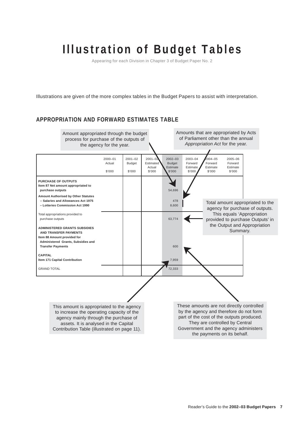Appearing for each Division in Chapter 3 of Budget Paper No. 2

<span id="page-7-0"></span>Illustrations are given of the more complex tables in the Budget Papers to assist with interpretation.

### **APPROPRIATION AND FORWARD ESTIMATES TABLE**

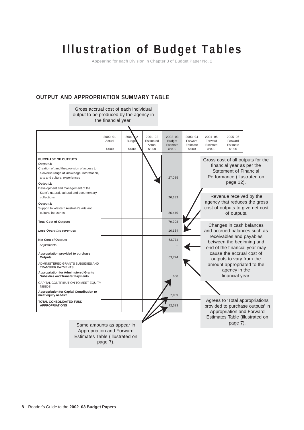Appearing for each Division in Chapter 3 of Budget Paper No. 2

### **OUTPUT AND APPROPRIATION SUMMARY TABLE**

Gross accrual cost of each individual output to be produced by the agency in the financial year.

|                                                                                                                                                                                                                 | $2000 - 01$<br>Actual<br>\$'000 | 2001<br>02<br><b>Budge</b><br>\$'000 | $2001 - 02$<br>Estimated<br>Actual<br>\$'000 | $2002 - 03$<br><b>Budget</b><br>Estimate<br>\$'000 | 2003-04<br>Forward<br>Estimate<br>\$'000 | $2004 - 05$<br>Forward<br>Estimate<br>\$'000                                           | 2005-06<br>Forward<br>Estimate<br>\$'000                                                                                |                                                                                                        |
|-----------------------------------------------------------------------------------------------------------------------------------------------------------------------------------------------------------------|---------------------------------|--------------------------------------|----------------------------------------------|----------------------------------------------------|------------------------------------------|----------------------------------------------------------------------------------------|-------------------------------------------------------------------------------------------------------------------------|--------------------------------------------------------------------------------------------------------|
| <b>PURCHASE OF OUTPUTS</b><br>Output 1:<br>Creation of, and the provision of access to,<br>a diverse range of knowledge, information,<br>arts and cultural experiences<br>Output 2:                             |                                 |                                      |                                              | 27.085                                             |                                          |                                                                                        | financial year as per the<br><b>Statement of Financial</b><br>Performance (illustrated on<br>page 12).                  | Gross cost of all outputs for the                                                                      |
| Development and management of the<br>State's natural, cultural and documentary<br>collections<br>Output 3:<br>Support to Western Australia's arts and<br>cultural industries                                    |                                 |                                      |                                              | 26,383<br>26,440                                   |                                          |                                                                                        | Revenue received by the<br>of outputs.                                                                                  | agency that reduces the gross<br>cost of outputs to give net cost                                      |
| <b>Total Cost of Outputs</b><br><b>Less Operating revenues</b>                                                                                                                                                  |                                 |                                      |                                              | 79,908<br>16,134                                   |                                          |                                                                                        | Changes in cash balances                                                                                                | and accrued balances such as                                                                           |
| <b>Net Cost of Outputs</b><br>Adjustments                                                                                                                                                                       |                                 |                                      |                                              | 63.774                                             |                                          | receivables and payables<br>between the beginning and<br>end of the financial year may |                                                                                                                         |                                                                                                        |
| Appropriation provided to purchase<br><b>Outputs</b><br>ADMINISTERED GRANTS SUBSIDIES AND<br><b>TRANSFER PAYMENTS</b><br><b>Appropriation for Administered Grants</b><br><b>Subsidies and Transfer Payments</b> |                                 |                                      |                                              | 63,774<br>600                                      |                                          |                                                                                        | cause the accrual cost of<br>outputs to vary from the<br>amount appropriated to the<br>agency in the<br>financial year. |                                                                                                        |
| CAPITAL CONTRIBUTION TO MEET EQUITY<br><b>NEEDS</b><br><b>Appropriation for Capital Contribution to</b><br>meet equity needs <sup>(b)</sup>                                                                     |                                 |                                      |                                              | 7.959                                              |                                          |                                                                                        |                                                                                                                         |                                                                                                        |
| TOTAL CONSOLIDATED FUND<br><b>APPROPRIATIONS</b>                                                                                                                                                                |                                 |                                      |                                              | 72.333                                             |                                          |                                                                                        | Appropriation and Forward                                                                                               | Agrees to 'Total appropriations<br>provided to purchase outputs' in<br>Estimates Table (illustrated on |
| Same amounts as appear in<br>Appropriation and Forward<br>Estimates Table (illustrated on                                                                                                                       | page 7).                        |                                      |                                              |                                                    |                                          |                                                                                        | page 7).                                                                                                                |                                                                                                        |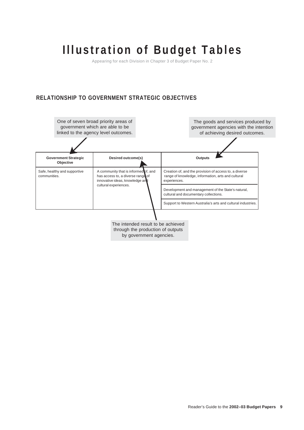Appearing for each Division in Chapter 3 of Budget Paper No. 2

## **RELATIONSHIP TO GOVERNMENT STRATEGIC OBJECTIVES**

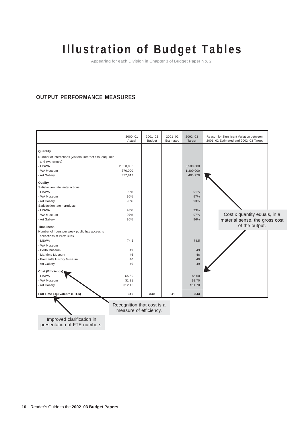Appearing for each Division in Chapter 3 of Budget Paper No. 2

### **OUTPUT PERFORMANCE MEASURES**

| <b>Full Time Equivalents (FTEs)</b>                                    | 340         | 340         | 341         | 343         |                                                  |
|------------------------------------------------------------------------|-------------|-------------|-------------|-------------|--------------------------------------------------|
| - Art Gallery                                                          | \$12.10     |             |             | \$11.70     |                                                  |
| - WA Museum                                                            | \$1.81      |             |             | \$1.70      |                                                  |
| - LISWA                                                                | \$5.59      |             |             | \$5.50      |                                                  |
| Cost (Efficiency)                                                      |             |             |             |             |                                                  |
| - Art Gallery                                                          | 49          |             |             | 49          |                                                  |
| - Fremantle History Museum                                             | 40          |             |             | 40          |                                                  |
| - Maritime Museum                                                      | 46          |             |             | 46          |                                                  |
| - Perth Museum                                                         | 49          |             |             | 49          |                                                  |
| - WA Museum                                                            |             |             |             |             |                                                  |
| - LISWA                                                                | 74.5        |             |             | 74.5        |                                                  |
| collections at Perth sites                                             |             |             |             |             |                                                  |
| Number of hours per week public has access to                          |             |             |             |             |                                                  |
| - Art Gallery<br><b>Timeliness</b>                                     | 96%         |             |             | 96%         | material sense, the gross cost<br>of the output. |
| - WA Museum                                                            | 97%         |             |             | 97%         | Cost x quantity equals, in a                     |
| - LISWA                                                                | 93%         |             |             | 93%         |                                                  |
| Satisfaction rate - products                                           |             |             |             |             |                                                  |
| - Art Gallery                                                          | 93%         |             |             | 93%         |                                                  |
| - WA Museum                                                            | 96%         |             |             | 97%         |                                                  |
| - LISWA                                                                | 90%         |             |             | 91%         |                                                  |
| Satisfaction rate - interactions                                       |             |             |             |             |                                                  |
| Quality                                                                |             |             |             |             |                                                  |
| - Art Gallery                                                          | 357,812     |             |             | 480,770     |                                                  |
| - WA Museum                                                            | 876,000     |             |             | 1,300,000   |                                                  |
| - LISWA                                                                | 2,850,000   |             |             | 3,500,000   |                                                  |
| and exchanges)                                                         |             |             |             |             |                                                  |
| Quantity<br>Number of interactions (visitors, internet hits, enquiries |             |             |             |             |                                                  |
|                                                                        |             |             |             |             |                                                  |
|                                                                        | Actual      | Budget      | Estimated   | Target      | 2001-02 Estimated and 2002-03 Target             |
|                                                                        | $2000 - 01$ | $2001 - 02$ | $2001 - 02$ | $2002 - 03$ | Reason for Significant Variation between         |

Recognition that cost is a measure of efficiency.

Improved clarification in presentation of FTE numbers.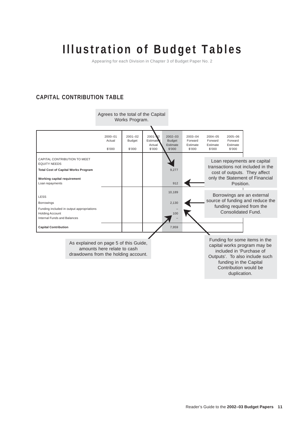Appearing for each Division in Chapter 3 of Budget Paper No. 2

### **CAPITAL CONTRIBUTION TABLE**

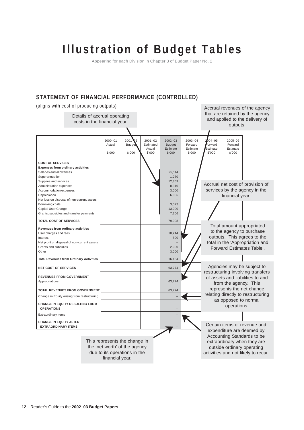Appearing for each Division in Chapter 3 of Budget Paper No. 2

### **STATEMENT OF FINANCIAL PERFORMANCE (CONTROLLED)**

(aligns with cost of producing outputs)

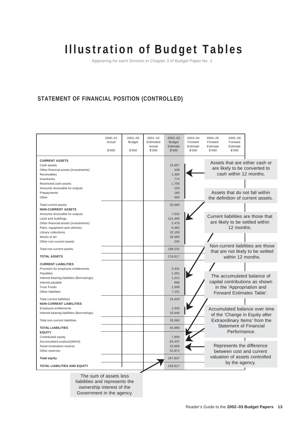Appearing for each Division in Chapter 3 of Budget Paper No. 2

## **STATEMENT OF FINANCIAL POSITION (CONTROLLED)**

|                                                                                                                                                                                                                               | $2000 - 01$<br>Actual<br>\$'000 | $2001 - 02$<br><b>Budget</b><br>\$'000 | $2001 - 02$<br>Estimated<br>Actual<br>\$'000 | $2002 - 03$<br><b>Budget</b><br>Estimate<br>\$'000         | 2003-04<br>Forward<br>Estimate<br>\$'000 | $2004 - 05$<br>Forward<br>Estimate<br>\$'000                                            | $2005 - 06$<br>Forward<br>Estimate<br>\$'000           |                                                                                                  |  |
|-------------------------------------------------------------------------------------------------------------------------------------------------------------------------------------------------------------------------------|---------------------------------|----------------------------------------|----------------------------------------------|------------------------------------------------------------|------------------------------------------|-----------------------------------------------------------------------------------------|--------------------------------------------------------|--------------------------------------------------------------------------------------------------|--|
| <b>CURRENT ASSETS</b><br>Cash assets<br>Other financial assets (Investments)<br>Receivables<br>Inventories                                                                                                                    |                                 |                                        |                                              | 15,857<br>208<br>1,360<br>774                              |                                          |                                                                                         | cash within 12 months.                                 | Assets that are either cash or<br>are likely to be converted to                                  |  |
| Restricted cash assets<br>Amounts receivable for outputs<br>Prepayments                                                                                                                                                       |                                 |                                        |                                              | 1,756<br>150<br>180                                        |                                          |                                                                                         |                                                        | Assets that do not fall within                                                                   |  |
| Other<br><b>Total current assets</b><br><b>NON-CURRENT ASSETS</b>                                                                                                                                                             |                                 |                                        |                                              | 300<br>20.585                                              |                                          |                                                                                         |                                                        | the definition of current assets.                                                                |  |
| Amounts receivable for outputs<br>Land and buildings<br>Other financial assets (Investments)<br>Plant, equipment and vehicles                                                                                                 |                                 |                                        |                                              | 7,032<br>121,495<br>2.479<br>6,482                         |                                          |                                                                                         | 12 months.                                             | Current liabilities are those that<br>are likely to be settled within                            |  |
| Library collections<br>Works of art<br>Other non-current assets                                                                                                                                                               |                                 |                                        |                                              | 32,109<br>28,385<br>250                                    |                                          |                                                                                         |                                                        | Non-current liabilities are those                                                                |  |
| Total non-current assets<br><b>TOTAL ASSETS</b>                                                                                                                                                                               |                                 |                                        |                                              | 198,232<br>218,817                                         |                                          |                                                                                         | that are not likely to be settled<br>within 12 months. |                                                                                                  |  |
| <b>CURRENT LIABILITIES</b><br>Provision for employee entitlements<br>Payables<br>Interest bearing liabilities (Borrowings)<br>Interest payable<br><b>Trust Funds</b><br>Other liabilities<br><b>Total current liabilities</b> |                                 |                                        |                                              | 3,331<br>1,262<br>1,221<br>999<br>1,506<br>7,101<br>15,420 |                                          |                                                                                         | in the 'Appropriation and                              | The accumulated balance of<br>capital contributions as shown<br>Forward Estimates Table'.        |  |
| <b>NON-CURRENT LIABILITIES</b><br>Employee entitlements<br>Interest bearing liabilities (Borrowings)<br>Total non-current liabilities                                                                                         |                                 |                                        |                                              | 2,920<br>32,640<br>35.560                                  |                                          |                                                                                         |                                                        | Accumulated balance over time<br>of the 'Change in Equity after<br>Extraordinary Items' from the |  |
| <b>TOTAL LIABILITIES</b><br><b>EQUITY</b><br>Contributed equity                                                                                                                                                               |                                 |                                        |                                              | 50,980<br>7,959                                            |                                          |                                                                                         | <b>Statement of Financial</b><br>Performance.          |                                                                                                  |  |
| Accumulated surplus/(deficit)<br>Asset revaluation reserve<br>Other reserves                                                                                                                                                  |                                 |                                        |                                              | 83.337<br>23,669<br>52,872                                 |                                          | Represents the difference<br>between cost and current<br>valuation of assets controlled |                                                        |                                                                                                  |  |
| <b>Total equity</b><br><b>TOTAL LIABILITIES AND EQUITY</b>                                                                                                                                                                    |                                 |                                        |                                              | 167,837<br>218,817                                         |                                          | by the agency.                                                                          |                                                        |                                                                                                  |  |
|                                                                                                                                                                                                                               | The sum of assets less          |                                        |                                              |                                                            |                                          |                                                                                         |                                                        |                                                                                                  |  |

liabilities and represents the ownership interest of the Government in the agency.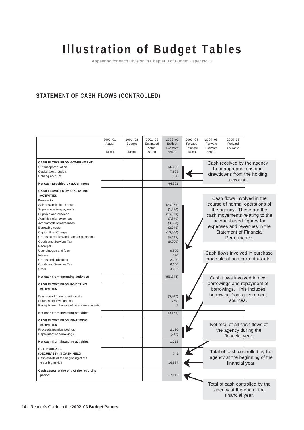Appearing for each Division in Chapter 3 of Budget Paper No. 2

## **STATEMENT OF CASH FLOWS (CONTROLLED)**

|                                                                                                                                                                                                                                                                                                                                | $2000 - 01$<br>Actual<br>\$'000 | $2001 - 02$<br><b>Budget</b><br>\$'000 | $2001 - 02$<br>Estimated<br>Actual<br>\$'000 | $2002 - 03$<br><b>Budget</b><br>Estimate<br>\$'000                                                     | $2003 - 04$<br>Forward<br>Estimate<br>\$'000 | $2004 - 05$<br>Forward<br>Estimate<br>\$'000 | $2005 - 06$<br>Forward<br>Estimate                                                                                                                                                                                                        |  |
|--------------------------------------------------------------------------------------------------------------------------------------------------------------------------------------------------------------------------------------------------------------------------------------------------------------------------------|---------------------------------|----------------------------------------|----------------------------------------------|--------------------------------------------------------------------------------------------------------|----------------------------------------------|----------------------------------------------|-------------------------------------------------------------------------------------------------------------------------------------------------------------------------------------------------------------------------------------------|--|
| <b>CASH FLOWS FROM GOVERNMENT</b><br>Output appropriation<br>Capital Contribution<br><b>Holding Account</b><br>Net cash provided by government                                                                                                                                                                                 |                                 |                                        |                                              | 56.492<br>7,959<br>100<br>64,551                                                                       |                                              |                                              | Cash received by the agency<br>from appropriations and<br>drawdowns from the holding<br>account.                                                                                                                                          |  |
| <b>CASH FLOWS FROM OPERATING</b><br><b>ACTIVITIES</b><br><b>Payments</b><br>Salaries and related costs<br>Superannuation payments<br>Supplies and services<br>Administration expenses<br>Accommodation expenses<br>Borrowing costs<br>Capital User Charge<br>Grants, subsidies and transfer payments<br>Goods and Services Tax |                                 |                                        |                                              | (23, 276)<br>(1, 280)<br>(15,079)<br>(7, 840)<br>(3,000)<br>(2,946)<br>(13,000)<br>(6, 519)<br>(6,000) |                                              |                                              | Cash flows involved in the<br>course of normal operations of<br>the agency. These are the<br>cash movements relating to the<br>accrual-based figures for<br>expenses and revenues in the<br><b>Statement of Financial</b><br>Performance. |  |
| <b>Receipts</b><br>User charges and fees<br>Interest<br>Grants and subsidies<br>Goods and Services Tax<br>Other                                                                                                                                                                                                                |                                 |                                        |                                              | 9,879<br>790<br>2.000<br>6,000<br>4,427                                                                |                                              |                                              | Cash flows involved in purchase<br>and sale of non-current assets.                                                                                                                                                                        |  |
| Net cash from operating activities<br><b>CASH FLOWS FROM INVESTING</b><br><b>ACTIVITIES</b><br>Purchase of non-current assets<br>Purchase of investments                                                                                                                                                                       |                                 |                                        |                                              | (55, 844)<br>(8, 417)<br>(760)                                                                         |                                              |                                              | Cash flows involved in new<br>borrowings and repayment of<br>borrowings. This includes<br>borrowing from government<br>sources.                                                                                                           |  |
| Receipts from the sale of non-current assets<br>Net cash from investing activities                                                                                                                                                                                                                                             |                                 |                                        |                                              | (9, 176)                                                                                               |                                              |                                              |                                                                                                                                                                                                                                           |  |
| <b>CASH FLOWS FROM FINANCING</b><br><b>ACTIVITIES</b><br>Proceeds from borrowings<br>Repayment of borrowings                                                                                                                                                                                                                   |                                 |                                        |                                              | 2,130<br>(912)                                                                                         |                                              |                                              | Net total of all cash flows of<br>the agency during the<br>financial year.                                                                                                                                                                |  |
| Net cash from financing activities                                                                                                                                                                                                                                                                                             |                                 |                                        |                                              | 1,218                                                                                                  |                                              |                                              |                                                                                                                                                                                                                                           |  |
| <b>NET INCREASE</b><br>(DECREASE) IN CASH HELD<br>Cash assets at the beginning of the<br>reporting period                                                                                                                                                                                                                      |                                 |                                        |                                              | 749<br>16,864                                                                                          |                                              |                                              | Total of cash controlled by the<br>agency at the beginning of the<br>financial year.                                                                                                                                                      |  |
| Cash assets at the end of the reporting<br>period                                                                                                                                                                                                                                                                              |                                 |                                        |                                              | 17,613                                                                                                 |                                              |                                              |                                                                                                                                                                                                                                           |  |
|                                                                                                                                                                                                                                                                                                                                |                                 |                                        |                                              |                                                                                                        |                                              |                                              | Total of cash controlled by the<br>agency at the end of the                                                                                                                                                                               |  |

financial year.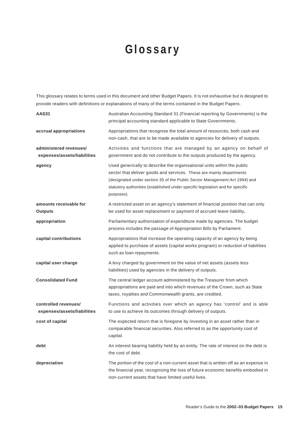# **Glossary**

<span id="page-15-0"></span>This glossary relates to terms used in this document and other Budget Papers. It is not exhaustive but is designed to provide readers with definitions or explanations of many of the terms contained in the Budget Papers.

| <b>AAS31</b>                                          | Australian Accounting Standard 31 (Financial reporting by Governments) is the<br>principal accounting standard applicable to State Governments.                                                                                                                                                                               |
|-------------------------------------------------------|-------------------------------------------------------------------------------------------------------------------------------------------------------------------------------------------------------------------------------------------------------------------------------------------------------------------------------|
| accrual appropriations                                | Appropriations that recognise the total amount of resources, both cash and<br>non-cash, that are to be made available to agencies for delivery of outputs.                                                                                                                                                                    |
| administered revenues/<br>expenses/assets/liabilities | Activities and functions that are managed by an agency on behalf of<br>government and do not contribute to the outputs produced by the agency.                                                                                                                                                                                |
| agency                                                | Used generically to describe the organisational units within the public<br>sector that deliver goods and services. These are mainly departments<br>(designated under section 35 of the Public Sector Management Act 1994) and<br>statutory authorities (established under specific legislation and for specific<br>purposes). |
| amounts receivable for<br><b>Outputs</b>              | A restricted asset on an agency's statement of financial position that can only<br>be used for asset replacement or payment of accrued leave liability.                                                                                                                                                                       |
| appropriation                                         | Parliamentary authorisation of expenditure made by agencies. The budget<br>process includes the passage of Appropriation Bills by Parliament.                                                                                                                                                                                 |
| capital contributions                                 | Appropriations that increase the operating capacity of an agency by being<br>applied to purchase of assets (capital works program) or reduction of liabilities<br>such as loan repayments.                                                                                                                                    |
| capital user charge                                   | A levy charged by government on the value of net assets (assets less<br>liabilities) used by agencies in the delivery of outputs.                                                                                                                                                                                             |
| <b>Consolidated Fund</b>                              | The central ledger account administered by the Treasurer from which<br>appropriations are paid and into which revenues of the Crown, such as State<br>taxes, royalties and Commonwealth grants, are credited.                                                                                                                 |
| controlled revenues/<br>expenses/assets/liabilities   | Functions and activities over which an agency has 'control' and is able<br>to use to achieve its outcomes through delivery of outputs.                                                                                                                                                                                        |
| cost of capital                                       | The expected return that is foregone by investing in an asset rather than in<br>comparable financial securities. Also referred to as the opportunity cost of<br>capital.                                                                                                                                                      |
| debt                                                  | An interest bearing liability held by an entity. The rate of interest on the debt is<br>the cost of debt.                                                                                                                                                                                                                     |
| depreciation                                          | The portion of the cost of a non-current asset that is written off as an expense in<br>the financial year, recognising the loss of future economic benefits embodied in<br>non-current assets that have limited useful lives.                                                                                                 |